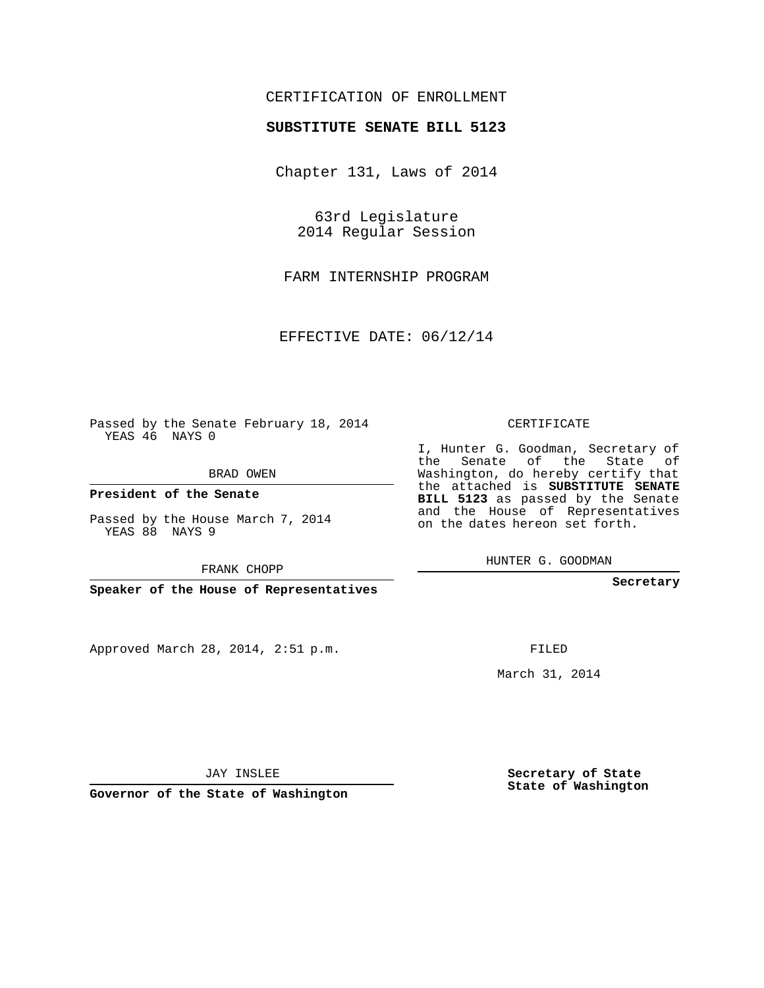## CERTIFICATION OF ENROLLMENT

### **SUBSTITUTE SENATE BILL 5123**

Chapter 131, Laws of 2014

63rd Legislature 2014 Regular Session

FARM INTERNSHIP PROGRAM

EFFECTIVE DATE: 06/12/14

Passed by the Senate February 18, 2014 YEAS 46 NAYS 0

BRAD OWEN

**President of the Senate**

Passed by the House March 7, 2014 YEAS 88 NAYS 9

FRANK CHOPP

**Speaker of the House of Representatives**

Approved March 28, 2014, 2:51 p.m.

CERTIFICATE

I, Hunter G. Goodman, Secretary of the Senate of the State of Washington, do hereby certify that the attached is **SUBSTITUTE SENATE BILL 5123** as passed by the Senate and the House of Representatives on the dates hereon set forth.

HUNTER G. GOODMAN

**Secretary**

FILED

March 31, 2014

**Secretary of State State of Washington**

JAY INSLEE

**Governor of the State of Washington**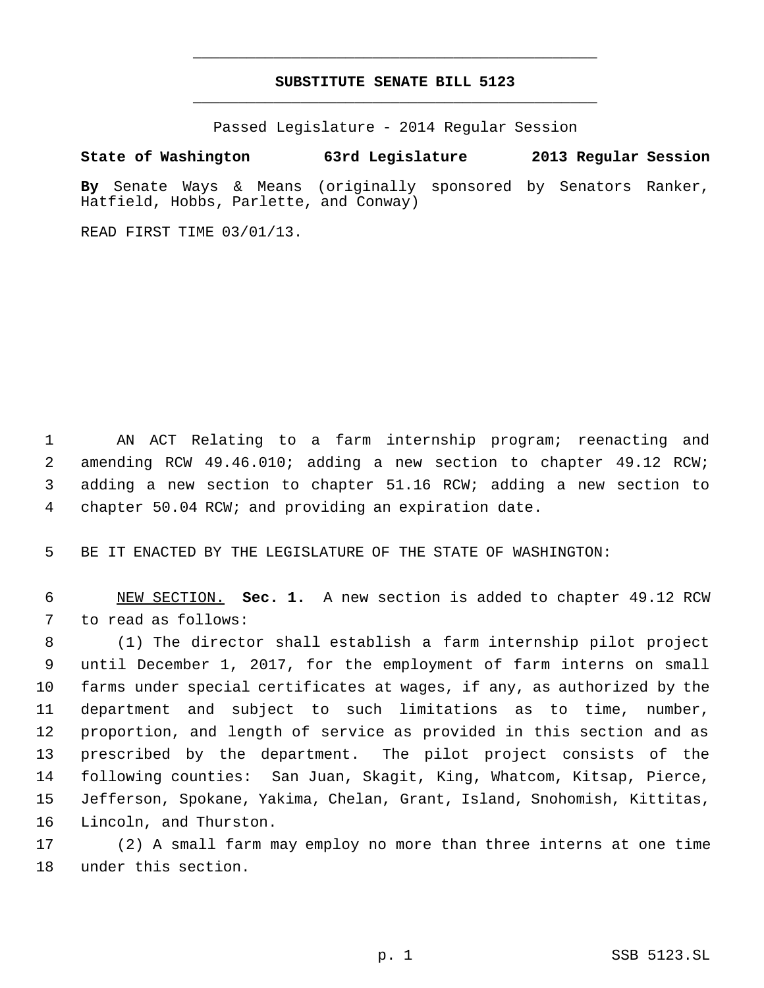# **SUBSTITUTE SENATE BILL 5123** \_\_\_\_\_\_\_\_\_\_\_\_\_\_\_\_\_\_\_\_\_\_\_\_\_\_\_\_\_\_\_\_\_\_\_\_\_\_\_\_\_\_\_\_\_

\_\_\_\_\_\_\_\_\_\_\_\_\_\_\_\_\_\_\_\_\_\_\_\_\_\_\_\_\_\_\_\_\_\_\_\_\_\_\_\_\_\_\_\_\_

Passed Legislature - 2014 Regular Session

# **State of Washington 63rd Legislature 2013 Regular Session**

**By** Senate Ways & Means (originally sponsored by Senators Ranker, Hatfield, Hobbs, Parlette, and Conway)

READ FIRST TIME 03/01/13.

 AN ACT Relating to a farm internship program; reenacting and amending RCW 49.46.010; adding a new section to chapter 49.12 RCW; adding a new section to chapter 51.16 RCW; adding a new section to chapter 50.04 RCW; and providing an expiration date.

BE IT ENACTED BY THE LEGISLATURE OF THE STATE OF WASHINGTON:

 NEW SECTION. **Sec. 1.** A new section is added to chapter 49.12 RCW to read as follows:

 (1) The director shall establish a farm internship pilot project until December 1, 2017, for the employment of farm interns on small farms under special certificates at wages, if any, as authorized by the department and subject to such limitations as to time, number, proportion, and length of service as provided in this section and as prescribed by the department. The pilot project consists of the following counties: San Juan, Skagit, King, Whatcom, Kitsap, Pierce, Jefferson, Spokane, Yakima, Chelan, Grant, Island, Snohomish, Kittitas, Lincoln, and Thurston.

 (2) A small farm may employ no more than three interns at one time under this section.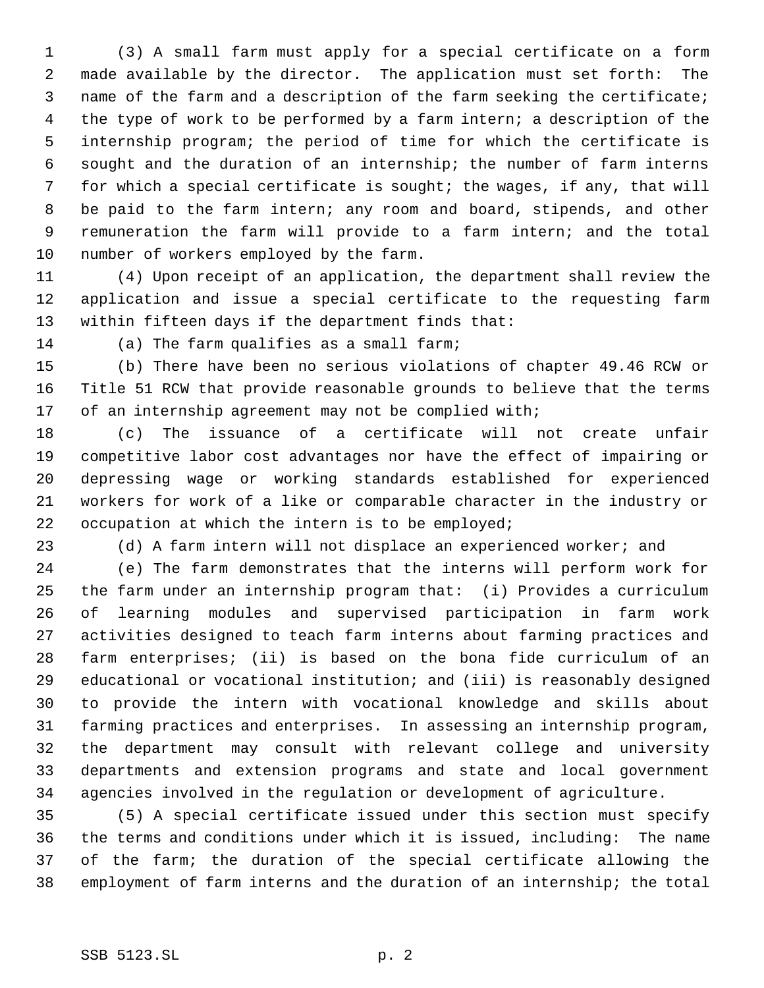(3) A small farm must apply for a special certificate on a form made available by the director. The application must set forth: The name of the farm and a description of the farm seeking the certificate; the type of work to be performed by a farm intern; a description of the internship program; the period of time for which the certificate is sought and the duration of an internship; the number of farm interns for which a special certificate is sought; the wages, if any, that will be paid to the farm intern; any room and board, stipends, and other remuneration the farm will provide to a farm intern; and the total number of workers employed by the farm.

 (4) Upon receipt of an application, the department shall review the application and issue a special certificate to the requesting farm within fifteen days if the department finds that:

(a) The farm qualifies as a small farm;

 (b) There have been no serious violations of chapter 49.46 RCW or Title 51 RCW that provide reasonable grounds to believe that the terms 17 of an internship agreement may not be complied with;

 (c) The issuance of a certificate will not create unfair competitive labor cost advantages nor have the effect of impairing or depressing wage or working standards established for experienced workers for work of a like or comparable character in the industry or occupation at which the intern is to be employed;

(d) A farm intern will not displace an experienced worker; and

 (e) The farm demonstrates that the interns will perform work for the farm under an internship program that: (i) Provides a curriculum of learning modules and supervised participation in farm work activities designed to teach farm interns about farming practices and farm enterprises; (ii) is based on the bona fide curriculum of an educational or vocational institution; and (iii) is reasonably designed to provide the intern with vocational knowledge and skills about farming practices and enterprises. In assessing an internship program, the department may consult with relevant college and university departments and extension programs and state and local government agencies involved in the regulation or development of agriculture.

 (5) A special certificate issued under this section must specify the terms and conditions under which it is issued, including: The name of the farm; the duration of the special certificate allowing the employment of farm interns and the duration of an internship; the total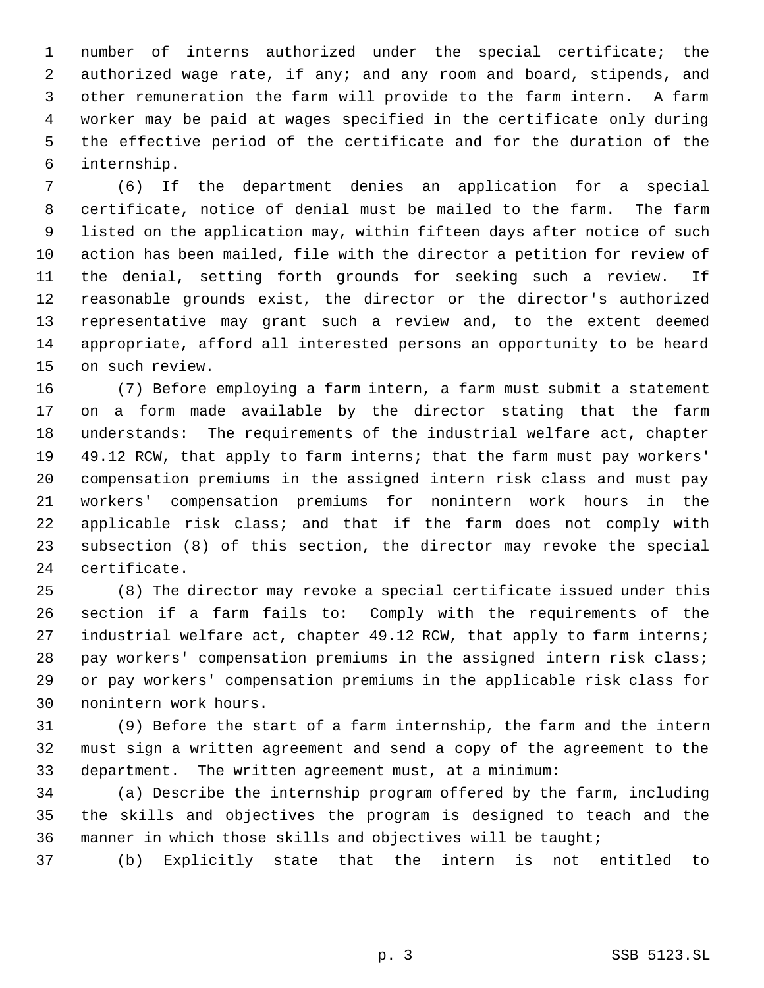number of interns authorized under the special certificate; the authorized wage rate, if any; and any room and board, stipends, and other remuneration the farm will provide to the farm intern. A farm worker may be paid at wages specified in the certificate only during the effective period of the certificate and for the duration of the internship.

 (6) If the department denies an application for a special certificate, notice of denial must be mailed to the farm. The farm listed on the application may, within fifteen days after notice of such action has been mailed, file with the director a petition for review of the denial, setting forth grounds for seeking such a review. If reasonable grounds exist, the director or the director's authorized representative may grant such a review and, to the extent deemed appropriate, afford all interested persons an opportunity to be heard on such review.

 (7) Before employing a farm intern, a farm must submit a statement on a form made available by the director stating that the farm understands: The requirements of the industrial welfare act, chapter 49.12 RCW, that apply to farm interns; that the farm must pay workers' compensation premiums in the assigned intern risk class and must pay workers' compensation premiums for nonintern work hours in the applicable risk class; and that if the farm does not comply with subsection (8) of this section, the director may revoke the special certificate.

 (8) The director may revoke a special certificate issued under this section if a farm fails to: Comply with the requirements of the 27 industrial welfare act, chapter 49.12 RCW, that apply to farm interns; pay workers' compensation premiums in the assigned intern risk class; or pay workers' compensation premiums in the applicable risk class for nonintern work hours.

 (9) Before the start of a farm internship, the farm and the intern must sign a written agreement and send a copy of the agreement to the department. The written agreement must, at a minimum:

 (a) Describe the internship program offered by the farm, including the skills and objectives the program is designed to teach and the manner in which those skills and objectives will be taught;

(b) Explicitly state that the intern is not entitled to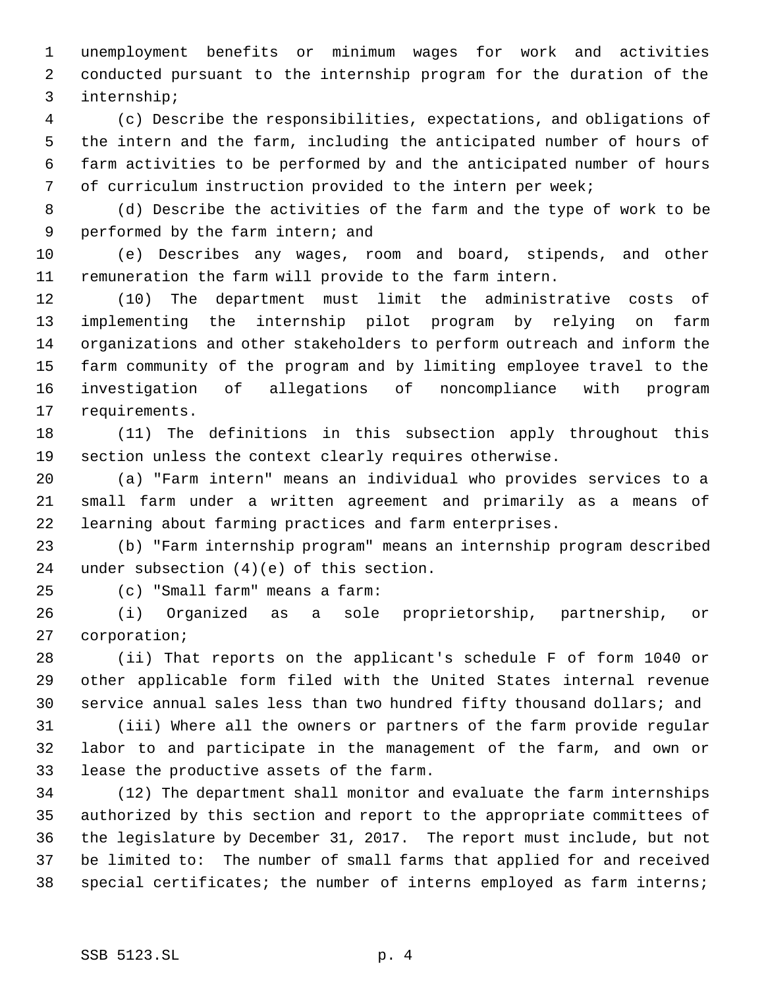unemployment benefits or minimum wages for work and activities conducted pursuant to the internship program for the duration of the internship;

 (c) Describe the responsibilities, expectations, and obligations of the intern and the farm, including the anticipated number of hours of farm activities to be performed by and the anticipated number of hours of curriculum instruction provided to the intern per week;

 (d) Describe the activities of the farm and the type of work to be performed by the farm intern; and

 (e) Describes any wages, room and board, stipends, and other remuneration the farm will provide to the farm intern.

 (10) The department must limit the administrative costs of implementing the internship pilot program by relying on farm organizations and other stakeholders to perform outreach and inform the farm community of the program and by limiting employee travel to the investigation of allegations of noncompliance with program requirements.

 (11) The definitions in this subsection apply throughout this section unless the context clearly requires otherwise.

 (a) "Farm intern" means an individual who provides services to a small farm under a written agreement and primarily as a means of learning about farming practices and farm enterprises.

 (b) "Farm internship program" means an internship program described under subsection (4)(e) of this section.

(c) "Small farm" means a farm:

 (i) Organized as a sole proprietorship, partnership, or corporation;

 (ii) That reports on the applicant's schedule F of form 1040 or other applicable form filed with the United States internal revenue service annual sales less than two hundred fifty thousand dollars; and

 (iii) Where all the owners or partners of the farm provide regular labor to and participate in the management of the farm, and own or lease the productive assets of the farm.

 (12) The department shall monitor and evaluate the farm internships authorized by this section and report to the appropriate committees of the legislature by December 31, 2017. The report must include, but not be limited to: The number of small farms that applied for and received special certificates; the number of interns employed as farm interns;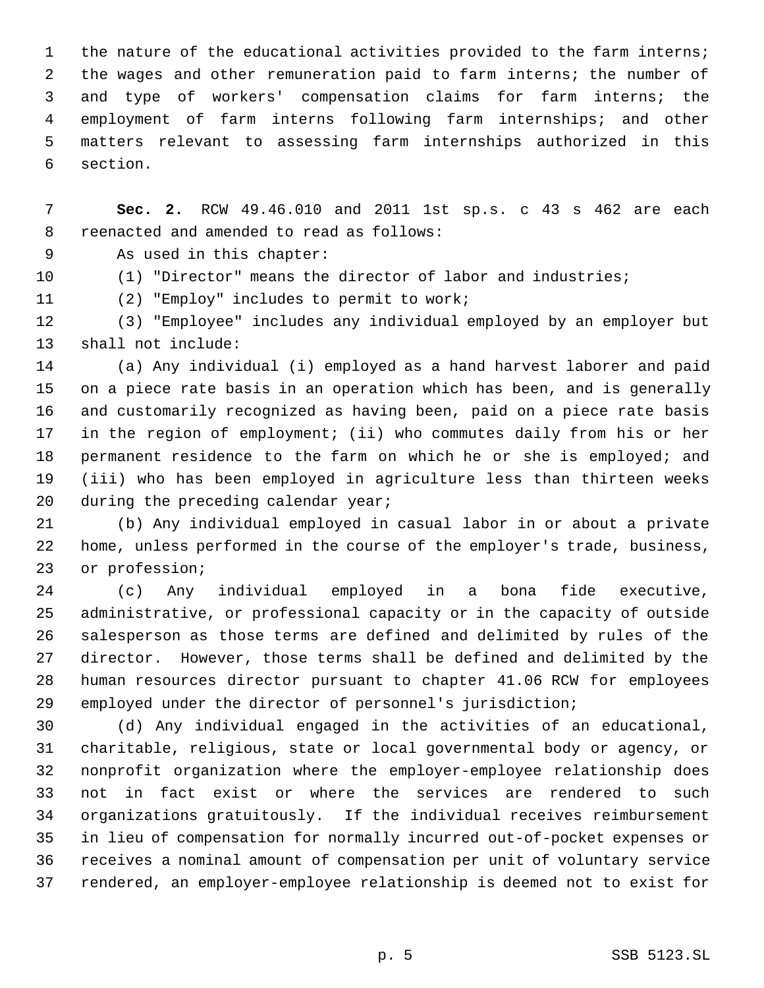the nature of the educational activities provided to the farm interns; the wages and other remuneration paid to farm interns; the number of and type of workers' compensation claims for farm interns; the employment of farm interns following farm internships; and other matters relevant to assessing farm internships authorized in this section.

 **Sec. 2.** RCW 49.46.010 and 2011 1st sp.s. c 43 s 462 are each reenacted and amended to read as follows:

As used in this chapter:

(1) "Director" means the director of labor and industries;

(2) "Employ" includes to permit to work;

 (3) "Employee" includes any individual employed by an employer but shall not include:

 (a) Any individual (i) employed as a hand harvest laborer and paid on a piece rate basis in an operation which has been, and is generally and customarily recognized as having been, paid on a piece rate basis in the region of employment; (ii) who commutes daily from his or her permanent residence to the farm on which he or she is employed; and (iii) who has been employed in agriculture less than thirteen weeks 20 during the preceding calendar year;

 (b) Any individual employed in casual labor in or about a private home, unless performed in the course of the employer's trade, business, or profession;

 (c) Any individual employed in a bona fide executive, administrative, or professional capacity or in the capacity of outside salesperson as those terms are defined and delimited by rules of the director. However, those terms shall be defined and delimited by the human resources director pursuant to chapter 41.06 RCW for employees employed under the director of personnel's jurisdiction;

 (d) Any individual engaged in the activities of an educational, charitable, religious, state or local governmental body or agency, or nonprofit organization where the employer-employee relationship does not in fact exist or where the services are rendered to such organizations gratuitously. If the individual receives reimbursement in lieu of compensation for normally incurred out-of-pocket expenses or receives a nominal amount of compensation per unit of voluntary service rendered, an employer-employee relationship is deemed not to exist for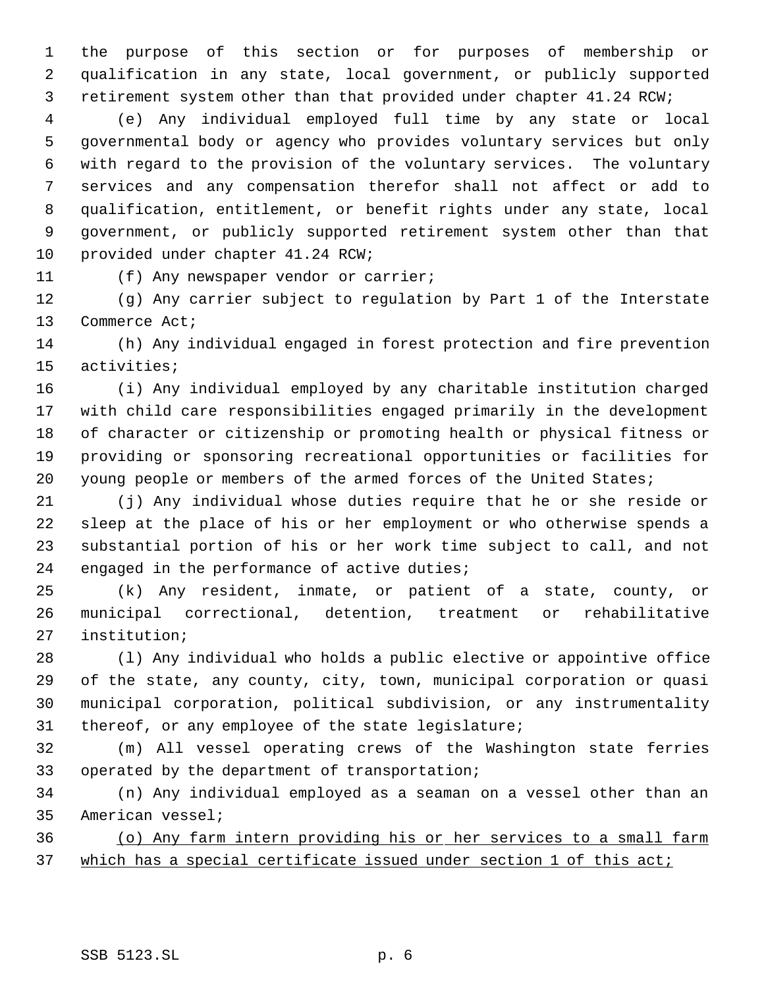the purpose of this section or for purposes of membership or qualification in any state, local government, or publicly supported retirement system other than that provided under chapter 41.24 RCW;

 (e) Any individual employed full time by any state or local governmental body or agency who provides voluntary services but only with regard to the provision of the voluntary services. The voluntary services and any compensation therefor shall not affect or add to qualification, entitlement, or benefit rights under any state, local government, or publicly supported retirement system other than that provided under chapter 41.24 RCW;

(f) Any newspaper vendor or carrier;

 (g) Any carrier subject to regulation by Part 1 of the Interstate Commerce Act;

 (h) Any individual engaged in forest protection and fire prevention activities;

 (i) Any individual employed by any charitable institution charged with child care responsibilities engaged primarily in the development of character or citizenship or promoting health or physical fitness or providing or sponsoring recreational opportunities or facilities for 20 young people or members of the armed forces of the United States;

 (j) Any individual whose duties require that he or she reside or sleep at the place of his or her employment or who otherwise spends a substantial portion of his or her work time subject to call, and not engaged in the performance of active duties;

 (k) Any resident, inmate, or patient of a state, county, or municipal correctional, detention, treatment or rehabilitative institution;

 (l) Any individual who holds a public elective or appointive office of the state, any county, city, town, municipal corporation or quasi municipal corporation, political subdivision, or any instrumentality thereof, or any employee of the state legislature;

 (m) All vessel operating crews of the Washington state ferries operated by the department of transportation;

 (n) Any individual employed as a seaman on a vessel other than an American vessel;

 (o) Any farm intern providing his or her services to a small farm 37 which has a special certificate issued under section 1 of this act;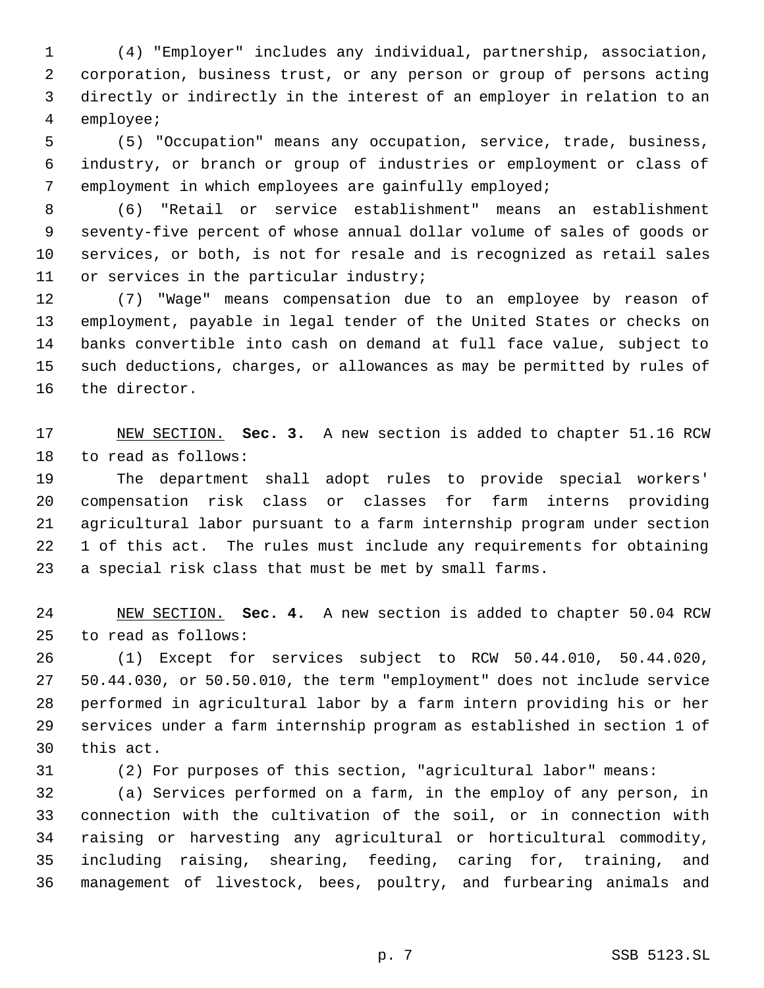(4) "Employer" includes any individual, partnership, association, corporation, business trust, or any person or group of persons acting directly or indirectly in the interest of an employer in relation to an employee;

 (5) "Occupation" means any occupation, service, trade, business, industry, or branch or group of industries or employment or class of employment in which employees are gainfully employed;

 (6) "Retail or service establishment" means an establishment seventy-five percent of whose annual dollar volume of sales of goods or services, or both, is not for resale and is recognized as retail sales 11 or services in the particular industry;

 (7) "Wage" means compensation due to an employee by reason of employment, payable in legal tender of the United States or checks on banks convertible into cash on demand at full face value, subject to such deductions, charges, or allowances as may be permitted by rules of the director.

 NEW SECTION. **Sec. 3.** A new section is added to chapter 51.16 RCW to read as follows:

 The department shall adopt rules to provide special workers' compensation risk class or classes for farm interns providing agricultural labor pursuant to a farm internship program under section 1 of this act. The rules must include any requirements for obtaining a special risk class that must be met by small farms.

 NEW SECTION. **Sec. 4.** A new section is added to chapter 50.04 RCW to read as follows:

 (1) Except for services subject to RCW 50.44.010, 50.44.020, 50.44.030, or 50.50.010, the term "employment" does not include service performed in agricultural labor by a farm intern providing his or her services under a farm internship program as established in section 1 of this act.

(2) For purposes of this section, "agricultural labor" means:

 (a) Services performed on a farm, in the employ of any person, in connection with the cultivation of the soil, or in connection with raising or harvesting any agricultural or horticultural commodity, including raising, shearing, feeding, caring for, training, and management of livestock, bees, poultry, and furbearing animals and